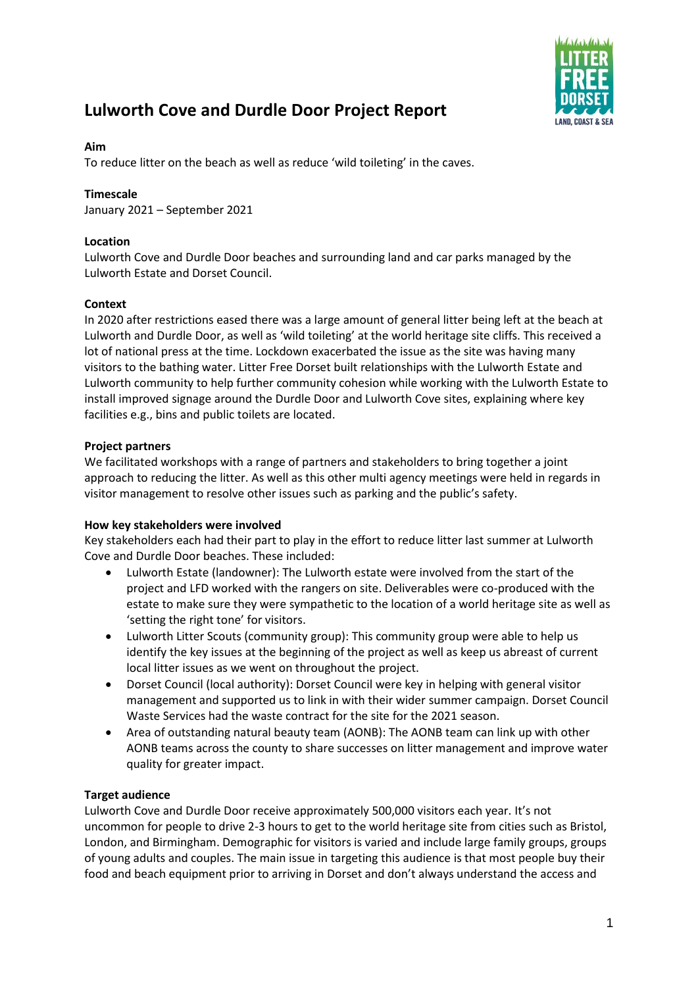

# **Lulworth Cove and Durdle Door Project Report**

# **Aim**

To reduce litter on the beach as well as reduce 'wild toileting' in the caves.

# **Timescale**

January 2021 – September 2021

# **Location**

Lulworth Cove and Durdle Door beaches and surrounding land and car parks managed by the Lulworth Estate and Dorset Council.

# **Context**

In 2020 after restrictions eased there was a large amount of general litter being left at the beach at Lulworth and Durdle Door, as well as 'wild toileting' at the world heritage site cliffs. This received a lot of national press at the time. Lockdown exacerbated the issue as the site was having many visitors to the bathing water. Litter Free Dorset built relationships with the Lulworth Estate and Lulworth community to help further community cohesion while working with the Lulworth Estate to install improved signage around the Durdle Door and Lulworth Cove sites, explaining where key facilities e.g., bins and public toilets are located.

# **Project partners**

We facilitated workshops with a range of partners and stakeholders to bring together a joint approach to reducing the litter. As well as this other multi agency meetings were held in regards in visitor management to resolve other issues such as parking and the public's safety.

### **How key stakeholders were involved**

Key stakeholders each had their part to play in the effort to reduce litter last summer at Lulworth Cove and Durdle Door beaches. These included:

- Lulworth Estate (landowner): The Lulworth estate were involved from the start of the project and LFD worked with the rangers on site. Deliverables were co-produced with the estate to make sure they were sympathetic to the location of a world heritage site as well as 'setting the right tone' for visitors.
- Lulworth Litter Scouts (community group): This community group were able to help us identify the key issues at the beginning of the project as well as keep us abreast of current local litter issues as we went on throughout the project.
- Dorset Council (local authority): Dorset Council were key in helping with general visitor management and supported us to link in with their wider summer campaign. Dorset Council Waste Services had the waste contract for the site for the 2021 season.
- Area of outstanding natural beauty team (AONB): The AONB team can link up with other AONB teams across the county to share successes on litter management and improve water quality for greater impact.

# **Target audience**

Lulworth Cove and Durdle Door receive approximately 500,000 visitors each year. It's not uncommon for people to drive 2-3 hours to get to the world heritage site from cities such as Bristol, London, and Birmingham. Demographic for visitors is varied and include large family groups, groups of young adults and couples. The main issue in targeting this audience is that most people buy their food and beach equipment prior to arriving in Dorset and don't always understand the access and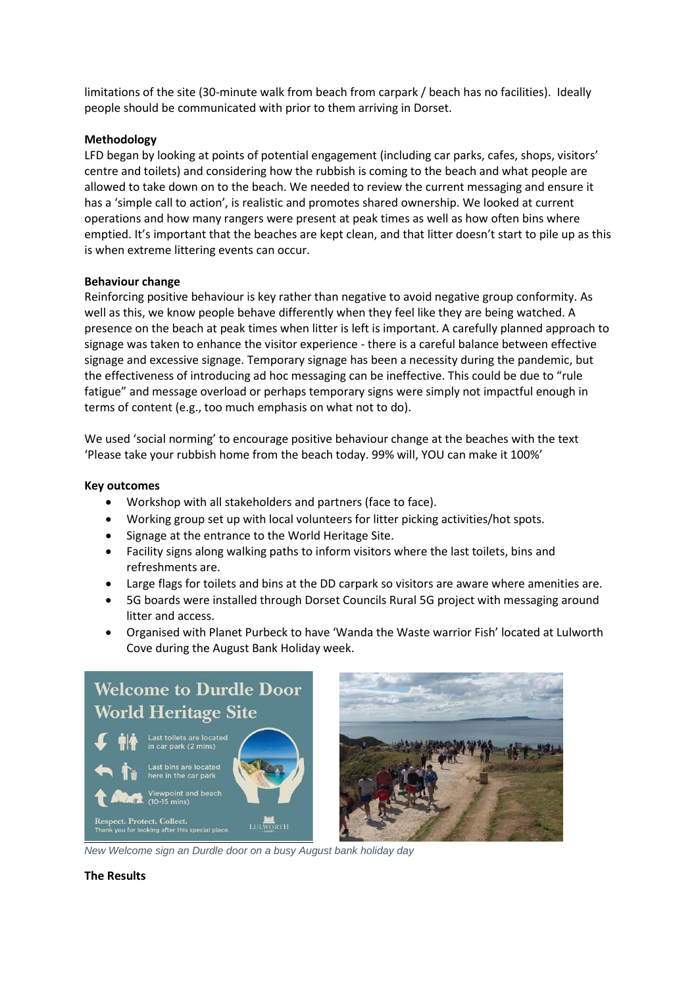limitations of the site (30-minute walk from beach from carpark / beach has no facilities). Ideally people should be communicated with prior to them arriving in Dorset.

### **Methodology**

LFD began by looking at points of potential engagement (including car parks, cafes, shops, visitors' centre and toilets) and considering how the rubbish is coming to the beach and what people are allowed to take down on to the beach. We needed to review the current messaging and ensure it has a 'simple call to action', is realistic and promotes shared ownership. We looked at current operations and how many rangers were present at peak times as well as how often bins where emptied. It's important that the beaches are kept clean, and that litter doesn't start to pile up as this is when extreme littering events can occur.

### **Behaviour change**

Reinforcing positive behaviour is key rather than negative to avoid negative group conformity. As well as this, we know people behave differently when they feel like they are being watched. A presence on the beach at peak times when litter is left is important. A carefully planned approach to signage was taken to enhance the visitor experience - there is a careful balance between effective signage and excessive signage. Temporary signage has been a necessity during the pandemic, but the effectiveness of introducing ad hoc messaging can be ineffective. This could be due to "rule fatigue" and message overload or perhaps temporary signs were simply not impactful enough in terms of content (e.g., too much emphasis on what not to do).

We used 'social norming' to encourage positive behaviour change at the beaches with the text 'Please take your rubbish home from the beach today. 99% will, YOU can make it 100%'

# **Key outcomes**

- Workshop with all stakeholders and partners (face to face).
- Working group set up with local volunteers for litter picking activities/hot spots.
- Signage at the entrance to the World Heritage Site.
- Facility signs along walking paths to inform visitors where the last toilets, bins and refreshments are.
- Large flags for toilets and bins at the DD carpark so visitors are aware where amenities are.
- 5G boards were installed through Dorset Councils Rural 5G project with messaging around litter and access.
- Organised with Planet Purbeck to have 'Wanda the Waste warrior Fish' located at Lulworth Cove during the August Bank Holiday week.



*New Welcome sign an Durdle door on a busy August bank holiday day*

**The Results**